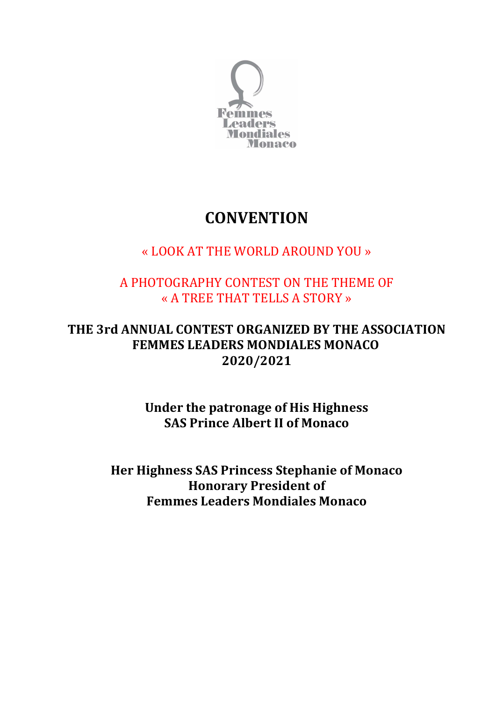

## **CONVENTION**

### « LOOK AT THE WORLD AROUND YOU »

#### A PHOTOGRAPHY CONTEST ON THE THEME OF « A TREE THAT TELLS A STORY »

#### THE 3rd ANNUAL CONTEST ORGANIZED BY THE ASSOCIATION FEMMES LEADERS MONDIALES MONACO 2020/2021

Under the patronage of His Highness SAS Prince Albert II of Monaco

Her Highness SAS Princess Stephanie of Monaco Honorary President of Femmes Leaders Mondiales Monaco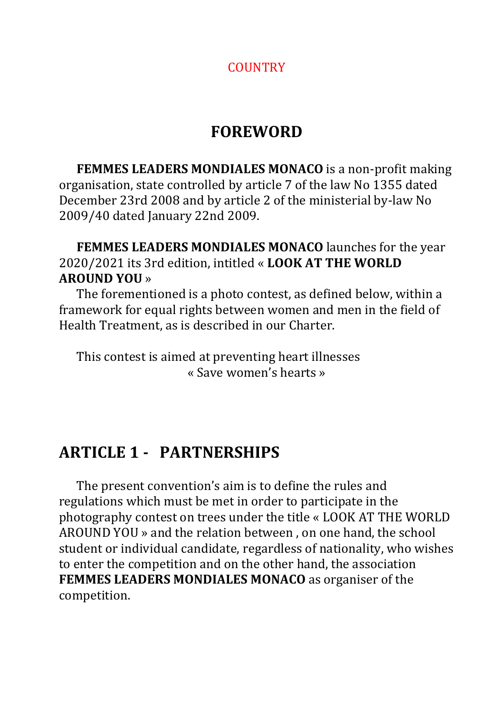#### **COUNTRY**

## FOREWORD

 FEMMES LEADERS MONDIALES MONACO is a non-profit making organisation, state controlled by article 7 of the law No 1355 dated December 23rd 2008 and by article 2 of the ministerial by-law No 2009/40 dated January 22nd 2009.

 FEMMES LEADERS MONDIALES MONACO launches for the year 2020/2021 its 3rd edition, intitled « LOOK AT THE WORLD AROUND YOU »

 The forementioned is a photo contest, as defined below, within a framework for equal rights between women and men in the field of Health Treatment, as is described in our Charter.

 This contest is aimed at preventing heart illnesses « Save women's hearts »

### ARTICLE 1 - PARTNERSHIPS

 The present convention's aim is to define the rules and regulations which must be met in order to participate in the photography contest on trees under the title « LOOK AT THE WORLD AROUND YOU » and the relation between , on one hand, the school student or individual candidate, regardless of nationality, who wishes to enter the competition and on the other hand, the association FEMMES LEADERS MONDIALES MONACO as organiser of the competition.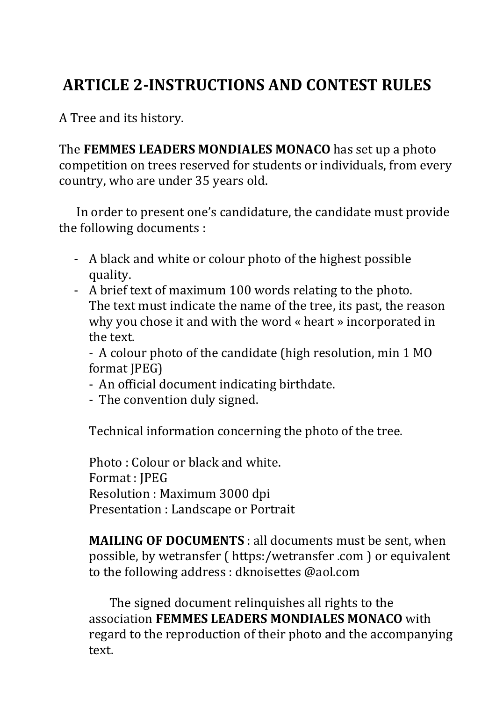# ARTICLE 2-INSTRUCTIONS AND CONTEST RULES

A Tree and its history.

The FEMMES LEADERS MONDIALES MONACO has set up a photo competition on trees reserved for students or individuals, from every country, who are under 35 years old.

 In order to present one's candidature, the candidate must provide the following documents :

- A black and white or colour photo of the highest possible quality.
- A brief text of maximum 100 words relating to the photo. The text must indicate the name of the tree, its past, the reason why you chose it and with the word « heart » incorporated in the text.

- A colour photo of the candidate (high resolution, min 1 MO format JPEG)

- An official document indicating birthdate.

- The convention duly signed.

Technical information concerning the photo of the tree.

Photo : Colour or black and white. Format : JPEG Resolution : Maximum 3000 dpi Presentation : Landscape or Portrait

MAILING OF DOCUMENTS : all documents must be sent, when possible, by wetransfer ( https:/wetransfer .com ) or equivalent to the following address : dknoisettes @aol.com

 The signed document relinquishes all rights to the association FEMMES LEADERS MONDIALES MONACO with regard to the reproduction of their photo and the accompanying text.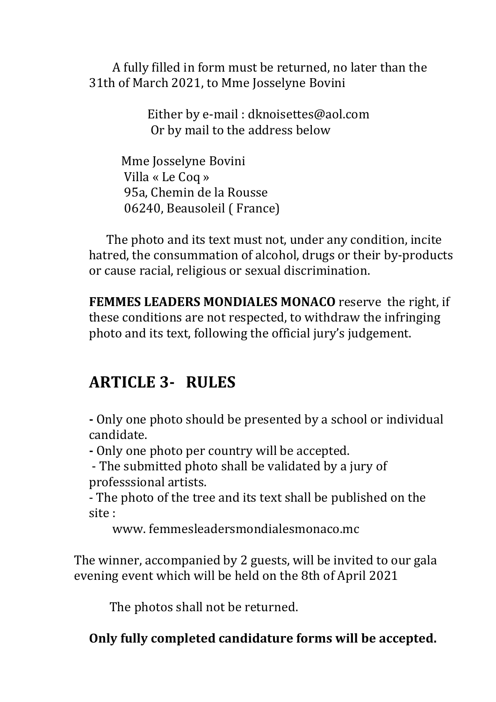A fully filled in form must be returned, no later than the 31th of March 2021, to Mme Josselyne Bovini

> Either by e-mail : dknoisettes@aol.com Or by mail to the address below

 Mme Josselyne Bovini Villa « Le Coq » 95a, Chemin de la Rousse 06240, Beausoleil ( France)

 The photo and its text must not, under any condition, incite hatred, the consummation of alcohol, drugs or their by-products or cause racial, religious or sexual discrimination.

FEMMES LEADERS MONDIALES MONACO reserve the right, if these conditions are not respected, to withdraw the infringing photo and its text, following the official jury's judgement.

## ARTICLE 3- RULES

- Only one photo should be presented by a school or individual candidate.

- Only one photo per country will be accepted.

- The submitted photo shall be validated by a jury of professsional artists.

- The photo of the tree and its text shall be published on the site :

www. femmesleadersmondialesmonaco.mc

The winner, accompanied by 2 guests, will be invited to our gala evening event which will be held on the 8th of April 2021

The photos shall not be returned.

Only fully completed candidature forms will be accepted.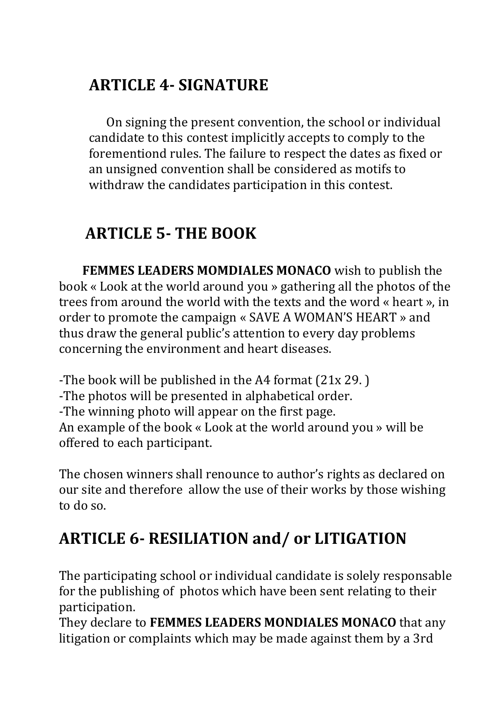# ARTICLE 4- SIGNATURE

 On signing the present convention, the school or individual candidate to this contest implicitly accepts to comply to the forementiond rules. The failure to respect the dates as fixed or an unsigned convention shall be considered as motifs to withdraw the candidates participation in this contest.

## ARTICLE 5- THE BOOK

 FEMMES LEADERS MOMDIALES MONACO wish to publish the book « Look at the world around you » gathering all the photos of the trees from around the world with the texts and the word « heart », in order to promote the campaign « SAVE A WOMAN'S HEART » and thus draw the general public's attention to every day problems concerning the environment and heart diseases.

-The book will be published in the A4 format (21x 29. ) -The photos will be presented in alphabetical order. -The winning photo will appear on the first page. An example of the book « Look at the world around you » will be offered to each participant.

The chosen winners shall renounce to author's rights as declared on our site and therefore allow the use of their works by those wishing to do so.

# ARTICLE 6- RESILIATION and/ or LITIGATION

The participating school or individual candidate is solely responsable for the publishing of photos which have been sent relating to their participation.

They declare to FEMMES LEADERS MONDIALES MONACO that any litigation or complaints which may be made against them by a 3rd